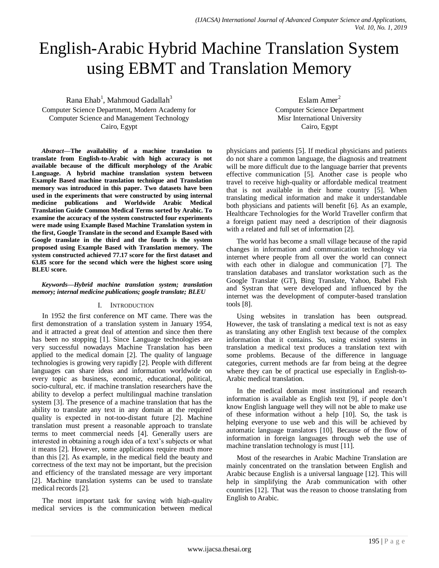# English-Arabic Hybrid Machine Translation System using EBMT and Translation Memory

Rana  $\mathrm{Ehab}^1$ , Mahmoud Gadallah $^3$ 

Computer Science Department, Modern Academy for Computer Science and Management Technology Cairo, Egypt

*Abstract***—The availability of a machine translation to translate from English-to-Arabic with high accuracy is not available because of the difficult morphology of the Arabic Language. A hybrid machine translation system between Example Based machine translation technique and Translation memory was introduced in this paper. Two datasets have been used in the experiments that were constructed by using internal medicine publications and Worldwide Arabic Medical Translation Guide Common Medical Terms sorted by Arabic. To examine the accuracy of the system constructed four experiments were made using Example Based Machine Translation system in the first, Google Translate in the second and Example Based with Google translate in the third and the fourth is the system proposed using Example Based with Translation memory. The system constructed achieved 77.17 score for the first dataset and 63.85 score for the second which were the highest score using BLEU score.**

### *Keywords—Hybrid machine translation system; translation memory; internal medicine publications; google translate; BLEU*

# I. INTRODUCTION

In 1952 the first conference on MT came. There was the first demonstration of a translation system in January 1954, and it attracted a great deal of attention and since then there has been no stopping [1]. Since Language technologies are very successful nowadays Machine Translation has been applied to the medical domain [2]. The quality of language technologies is growing very rapidly [2]. People with different languages can share ideas and information worldwide on every topic as business, economic, educational, political, socio-cultural, etc. if machine translation researchers have the ability to develop a perfect multilingual machine translation system [3]. The presence of a machine translation that has the ability to translate any text in any domain at the required quality is expected in not-too-distant future [2]. Machine translation must present a reasonable approach to translate terms to meet commercial needs [4]. Generally users are interested in obtaining a rough idea of a text's subjects or what it means [2]. However, some applications require much more than this [2]. As example, in the medical field the beauty and correctness of the text may not be important, but the precision and efficiency of the translated message are very important [2]. Machine translation systems can be used to translate medical records [2].

The most important task for saving with high-quality medical services is the communication between medical

Eslam Amer<sup>2</sup> Computer Science Department Misr International University Cairo, Egypt

physicians and patients [5]. If medical physicians and patients do not share a common language, the diagnosis and treatment will be more difficult due to the language barrier that prevents effective communication [5]. Another case is people who travel to receive high-quality or affordable medical treatment that is not available in their home country [5]. When translating medical information and make it understandable both physicians and patients will benefit [6]. As an example, Healthcare Technologies for the World Traveller confirm that a foreign patient may need a description of their diagnosis with a related and full set of information [2].

The world has become a small village because of the rapid changes in information and communication technology via internet where people from all over the world can connect with each other in dialogue and communication [7]. The translation databases and translator workstation such as the Google Translate (GT), Bing Translate, Yahoo, Babel Fish and Systran that were developed and influenced by the internet was the development of computer-based translation tools [8].

Using websites in translation has been outspread. However, the task of translating a medical text is not as easy as translating any other English text because of the complex information that it contains. So, using existed systems in translation a medical text produces a translation text with some problems. Because of the difference in language categories, current methods are far from being at the degree where they can be of practical use especially in English-to-Arabic medical translation.

In the medical domain most institutional and research information is available as English text [9], if people don't know English language well they will not be able to make use of these information without a help [10]. So, the task is helping everyone to use web and this will be achieved by automatic language translators [10]. Because of the flow of information in foreign languages through web the use of machine translation technology is must [11].

Most of the researches in Arabic Machine Translation are mainly concentrated on the translation between English and Arabic because English is a universal language [12]. This will help in simplifying the Arab communication with other countries [12]. That was the reason to choose translating from English to Arabic.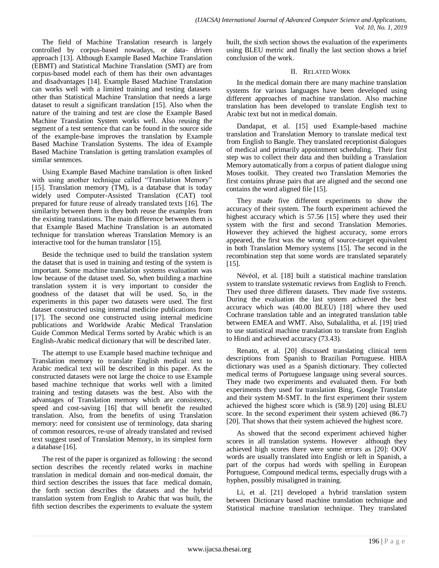The field of Machine Translation research is largely controlled by corpus-based nowadays, or data- driven approach [13]. Although Example Based Machine Translation (EBMT) and Statistical Machine Translation (SMT) are from corpus-based model each of them has their own advantages and disadvantages [14]. Example Based Machine Translation can works well with a limited training and testing datasets other than Statistical Machine Translation that needs a large dataset to result a significant translation [15]. Also when the nature of the training and test are close the Example Based Machine Translation System works well. Also reusing the segment of a test sentence that can be found in the source side of the example-base improves the translation by Example Based Machine Translation Systems. The idea of Example Based Machine Translation is getting translation examples of similar sentences.

Using Example Based Machine translation is often linked with using another technique called "Translation Memory" [15]. Translation memory (TM), is a database that is today widely used Computer-Assisted Translation (CAT) tool prepared for future reuse of already translated texts [16]. The similarity between them is they both reuse the examples from the existing translations. The main difference between them is that Example Based Machine Translation is an automated technique for translation whereas Translation Memory is an interactive tool for the human translator [15].

Beside the technique used to build the translation system the dataset that is used in training and testing of the system is important. Some machine translation systems evaluation was low because of the dataset used. So, when building a machine translation system it is very important to consider the goodness of the dataset that will be used. So, in the experiments in this paper two datasets were used. The first dataset constructed using internal medicine publications from [17]. The second one constructed using internal medicine publications and Worldwide Arabic Medical Translation Guide Common Medical Terms sorted by Arabic which is an English-Arabic medical dictionary that will be described later.

The attempt to use Example based machine technique and Translation memory to translate English medical text to Arabic medical text will be described in this paper. As the constructed datasets were not large the choice to use Example based machine technique that works well with a limited training and testing datasets was the best. Also with the advantages of Translation memory which are consistency, speed and cost-saving [16] that will benefit the resulted translation. Also, from the benefits of using Translation memory: need for consistent use of terminology, data sharing of common resources, re-use of already translated and revised text suggest used of Translation Memory, in its simplest form a database [16].

The rest of the paper is organized as following : the second section describes the recently related works in machine translation in medical domain and non-medical domain, the third section describes the issues that face medical domain, the forth section describes the datasets and the hybrid translation system from English to Arabic that was built, the fifth section describes the experiments to evaluate the system built, the sixth section shows the evaluation of the experiments using BLEU metric and finally the last section shows a brief conclusion of the work.

## II. RELATED WORK

In the medical domain there are many machine translation systems for various languages have been developed using different approaches of machine translation. Also machine translation has been developed to translate English text to Arabic text but not in medical domain.

Dandapat, et al. [15] used Example-based machine translation and Translation Memory to translate medical text from English to Bangle. They translated receptionist dialogues of medical and primarily appointment scheduling. Their first step was to collect their data and then building a Translation Memory automatically from a corpus of patient dialogue using Moses toolkit. They created two Translation Memories the first contains phrase pairs that are aligned and the second one contains the word aligned file [15].

They made five different experiments to show the accuracy of their system. The fourth experiment achieved the highest accuracy which is 57.56 [15] where they used their system with the first and second Translation Memories. However they achieved the highest accuracy, some errors appeared, the first was the wrong of source-target equivalent in both Translation Memory systems [15]. The second in the recombination step that some words are translated separately [15].

Névéol, et al. [18] built a statistical machine translation system to translate systematic reviews from English to French. They used three different datasets. They made five systems. During the evaluation the last system achieved the best accuracy which was (40.00 BLEU) [18] where they used Cochrane translation table and an integrated translation table between EMEA and WMT. Also, Subalalitha, et al. [19] tried to use statistical machine translation to translate from English to Hindi and achieved accuracy (73.43).

Renato, et al. [20] discussed translating clinical term descriptions from Spanish to Brazilian Portuguese. HIBA dictionary was used as a Spanish dictionary. They collected medical terms of Portuguese language using several sources. They made two experiments and evaluated them. For both experiments they used for translation Bing, Google Translate and their system M-SMT. In the first experiment their system achieved the highest score which is (58.9) [20] using BLEU score. In the second experiment their system achieved (86.7) [20]. That shows that their system achieved the highest score.

As showed that the second experiment achieved higher scores in all translation systems. However although they achieved high scores there were some errors as [20]: OOV words are usually translated into English or left in Spanish, a part of the corpus had words with spelling in European Portuguese, Compound medical terms, especially drugs with a hyphen, possibly misaligned in training.

Li, et al. [21] developed a hybrid translation system between Dictionary based machine translation technique and Statistical machine translation technique. They translated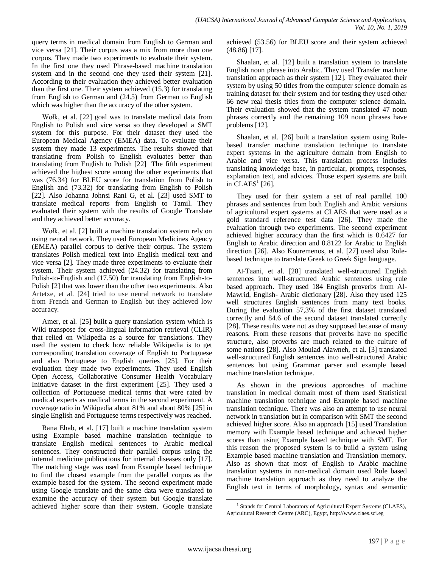query terms in medical domain from English to German and vice versa [21]. Their corpus was a mix from more than one corpus. They made two experiments to evaluate their system. In the first one they used Phrase-based machine translation system and in the second one they used their system [21]. According to their evaluation they achieved better evaluation than the first one. Their system achieved (15.3) for translating from English to German and (24.5) from German to English which was higher than the accuracy of the other system.

Wołk, et al. [22] goal was to translate medical data from English to Polish and vice versa so they developed a SMT system for this purpose. For their dataset they used the European Medical Agency (EMEA) data. To evaluate their system they made 13 experiments. The results showed that translating from Polish to English evaluates better than translating from English to Polish [22] The fifth experiment achieved the highest score among the other experiments that was (76.34) for BLEU score for translation from Polish to English and (73.32) for translating from English to Polish [22]. Also Johanna Johnsi Rani G, et al. [23] used SMT to translate medical reports from English to Tamil. They evaluated their system with the results of Google Translate and they achieved better accuracy.

Wołk, et al. [2] built a machine translation system rely on using neural network. They used European Medicines Agency (EMEA) parallel corpus to derive their corpus. The system translates Polish medical text into English medical text and vice versa [2]. They made three experiments to evaluate their system. Their system achieved (24.32) for translating from Polish-to-English and (17.50) for translating from English-to-Polish [2] that was lower than the other two experiments. Also Artetxe, et al. [24] tried to use neural network to translate from French and German to English but they achieved low accuracy.

Amer, et al. [25] built a query translation system which is Wiki transpose for cross-lingual information retrieval (CLIR) that relied on Wikipedia as a source for translations. They used the system to check how reliable Wikipedia is to get corresponding translation coverage of English to Portuguese and also Portuguese to English queries [25]. For their evaluation they made two experiments. They used English Open Access, Collaborative Consumer Health Vocabulary Initiative dataset in the first experiment [25]. They used a collection of Portuguese medical terms that were rated by medical experts as medical terms in the second experiment. A coverage ratio in Wikipedia about 81% and about 80% [25] in single English and Portuguese terms respectively was reached.

Rana Ehab, et al. [17] built a machine translation system using Example based machine translation technique to translate English medical sentences to Arabic medical sentences. They constructed their parallel corpus using the internal medicine publications for internal diseases only [17]. The matching stage was used from Example based technique to find the closest example from the parallel corpus as the example based for the system. The second experiment made using Google translate and the same data were translated to examine the accuracy of their system but Google translate achieved higher score than their system. Google translate achieved (53.56) for BLEU score and their system achieved (48.86) [17].

Shaalan, et al. [12] built a translation system to translate English noun phrase into Arabic. They used Transfer machine translation approach as their system [12]. They evaluated their system by using 50 titles from the computer science domain as training dataset for their system and for testing they used other 66 new real thesis titles from the computer science domain. Their evaluation showed that the system translated 47 noun phrases correctly and the remaining 109 noun phrases have problems [12].

Shaalan, et al. [26] built a translation system using Rulebased transfer machine translation technique to translate expert systems in the agriculture domain from English to Arabic and vice versa. This translation process includes translating knowledge base, in particular, prompts, responses, explanation text, and advices. Those expert systems are built in  $CLAES^1$  [26].

They used for their system a set of real parallel 100 phrases and sentences from both English and Arabic versions of agricultural expert systems at CLAES that were used as a gold standard reference test data [26]. They made the evaluation through two experiments. The second experiment achieved higher accuracy than the first which is 0.6427 for English to Arabic direction and 0.8122 for Arabic to English direction [26]. Also Kouremenos, et al. [27] used also Rulebased technique to translate Greek to Greek Sign language.

Al-Taani, et al. [28] translated well-structured English sentences into well-structured Arabic sentences using rule based approach. They used 184 English proverbs from Al-Mawrid, English- Arabic dictionary [28]. Also they used 125 well structures English sentences from many text books. During the evaluation 57,3% of the first dataset translated correctly and 84.6 of the second dataset translated correctly [28]. These results were not as they supposed because of many reasons. From these reasons that proverbs have no specific structure, also proverbs are much related to the culture of some nations [28]. Also Mouiad Alawneh, et al. [3] translated well-structured English sentences into well-structured Arabic sentences but using Grammar parser and example based machine translation technique.

As shown in the previous approaches of machine translation in medical domain most of them used Statistical machine translation technique and Example based machine translation technique. There was also an attempt to use neural network in translation but in comparison with SMT the second achieved higher score. Also an approach [15] used Translation memory with Example based technique and achieved higher scores than using Example based technique with SMT. For this reason the proposed system is to build a system using Example based machine translation and Translation memory. Also as shown that most of English to Arabic machine translation systems in non-medical domain used Rule based machine translation approach as they need to analyze the English text in terms of morphology, syntax and semantic

l <sup>1</sup> Stands for Central Laboratory of Agricultural Expert Systems (CLAES), Agricultural Research Centre (ARC), Egypt, http://www.claes.sci.eg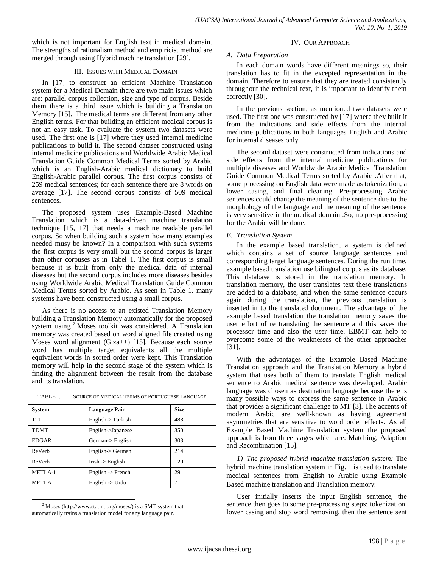which is not important for English text in medical domain. The strengths of rationalism method and empiricist method are merged through using Hybrid machine translation [29].

#### III. ISSUES WITH MEDICAL DOMAIN

In [17] to construct an efficient Machine Translation system for a Medical Domain there are two main issues which are: parallel corpus collection, size and type of corpus. Beside them there is a third issue which is building a Translation Memory [15]. The medical terms are different from any other English terms. For that building an efficient medical corpus is not an easy task. To evaluate the system two datasets were used. The first one is [17] where they used internal medicine publications to build it. The second dataset constructed using internal medicine publications and Worldwide Arabic Medical Translation Guide Common Medical Terms sorted by Arabic which is an English-Arabic medical dictionary to build English-Arabic parallel corpus. The first corpus consists of 259 medical sentences; for each sentence there are 8 words on average [17]. The second corpus consists of 509 medical sentences.

The proposed system uses Example-Based Machine Translation which is a data-driven machine translation technique [15, 17] that needs a machine readable parallel corpus. So when building such a system how many examples needed musy be known? In a comparison with such systems the first corpus is very small but the second corpus is larger than other corpuses as in Tabel 1. The first corpus is small because it is built from only the medical data of internal diseases but the second corpus includes more diseases besides using Worldwide Arabic Medical Translation Guide Common Medical Terms sorted by Arabic. As seen in Table 1. many systems have been constructed using a small corpus.

As there is no access to an existed Translation Memory building a Translation Memory automatically for the proposed system using <sup>2</sup> Moses toolkit was considered. A Translation memory was created based on word aligned file created using Moses word alignment (Giza++) [15]. Because each source word has multiple target equivalents all the multiple equivalent words in sorted order were kept. This Translation memory will help in the second stage of the system which is finding the alignment between the result from the database and its translation.

| <b>System</b> | <b>Language Pair</b>         | <b>Size</b> |
|---------------|------------------------------|-------------|
| TTL.          | $English$ - $Turkish$        | 488         |
| <b>TDMT</b>   | English->Japanese            | 350         |
| <b>EDGAR</b>  | German-> English             | 303         |
| ReVerb        | English-> German             | 214         |
| ReVerb        | Irish $\ge$ English          | 120         |
| METLA-1       | English $\rightarrow$ French | 29          |
| <b>METLA</b>  | English $\rightarrow$ Urdu   |             |

#### TABLE I. SOURCE OF MEDICAL TERMS OF PORTUGUESE LANGUAGE

#### IV. OUR APPROACH

#### *A. Data Preparation*

In each domain words have different meanings so, their translation has to fit in the excepted representation in the domain. Therefore to ensure that they are treated consistently throughout the technical text, it is important to identify them correctly [30].

In the previous section, as mentioned two datasets were used. The first one was constructed by [17] where they built it from the indications and side effects from the internal medicine publications in both languages English and Arabic for internal diseases only.

The second dataset were constructed from indications and side effects from the internal medicine publications for multiple diseases and Worldwide Arabic Medical Translation Guide Common Medical Terms sorted by Arabic .After that, some processing on English data were made as tokenization, a lower casing, and final cleaning. Pre-processing Arabic sentences could change the meaning of the sentence due to the morphology of the language and the meaning of the sentence is very sensitive in the medical domain .So, no pre-processing for the Arabic will be done.

### *B. Translation System*

In the example based translation, a system is defined which contains a set of source language sentences and corresponding target language sentences. During the run time, example based translation use bilingual corpus as its database. This database is stored in the translation memory. In translation memory, the user translates text these translations are added to a database, and when the same sentence occurs again during the translation, the previous translation is inserted in to the translated document. The advantage of the example based translation the translation memory saves the user effort of re translating the sentence and this saves the processor time and also the user time. EBMT can help to overcome some of the weaknesses of the other approaches [31].

With the advantages of the Example Based Machine Translation approach and the Translation Memory a hybrid system that uses both of them to translate English medical sentence to Arabic medical sentence was developed. Arabic language was chosen as destination language because there is many possible ways to express the same sentence in Arabic that provides a significant challenge to MT [3]. The accents of modern Arabic are well-known as having agreement asymmetries that are sensitive to word order effects. As all Example Based Machine Translation system the proposed approach is from three stages which are: Matching, Adaption and Recombination [15].

*1) The proposed hybrid machine translation system:* The hybrid machine translation system in Fig. 1 is used to translate medical sentences from English to Arabic using Example Based machine translation and Translation memory.

User initially inserts the input English sentence, the sentence then goes to some pre-processing steps: tokenization, lower casing and stop word removing, then the sentence sent

l  $2$  Moses (http://www.statmt.org/moses/) is a SMT system that automatically trains a translation model for any language pair.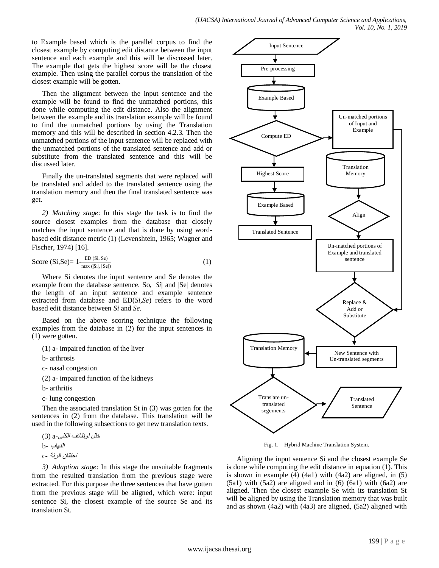to Example based which is the parallel corpus to find the closest example by computing edit distance between the input sentence and each example and this will be discussed later. The example that gets the highest score will be the closest example. Then using the parallel corpus the translation of the closest example will be gotten.

Then the alignment between the input sentence and the example will be found to find the unmatched portions, this done while computing the edit distance. Also the alignment between the example and its translation example will be found to find the unmatched portions by using the Translation memory and this will be described in section 4.2.3. Then the unmatched portions of the input sentence will be replaced with the unmatched portions of the translated sentence and add or substitute from the translated sentence and this will be discussed later.

Finally the un-translated segments that were replaced will be translated and added to the translated sentence using the translation memory and then the final translated sentence was get.

*2) Matching stage*: In this stage the task is to find the source closest examples from the database that closely matches the input sentence and that is done by using wordbased edit distance metric (1) (Levenshtein, 1965; Wagner and Fischer, 1974) [16].

$$
\text{Score (Si, Se)} = 1 - \frac{\text{ED (Si, Se)}}{\max (\text{[Si], [Se]})}
$$
 (1)

Where Si denotes the input sentence and Se denotes the example from the database sentence. So, |*Si*| and |Se| denotes the length of an input sentence and example sentence extracted from database and ED(*Si,Se*) refers to the word based edit distance between *Si* and *Se*.

Based on the above scoring technique the following examples from the database in (2) for the input sentences in (1) were gotten.

(1) a- impaired function of the liver

b- arthrosis

c- nasal congestion

(2) a- impaired function of the kidneys

b- arthritis

c- lung congestion

Then the associated translation St in (3) was gotten for the sentences in (2) from the database. This translation will be used in the following subsections to get new translation texts.

خلل لوظائف الكلى-a) 3( التهاب -b احتقان الرئة -c

*3) Adaption stage*: In this stage the unsuitable fragments from the resulted translation from the previous stage were extracted. For this purpose the three sentences that have gotten from the previous stage will be aligned, which were: input sentence Si, the closest example of the source Se and its translation St.



Fig. 1. Hybrid Machine Translation System.

Aligning the input sentence Si and the closest example Se is done while computing the edit distance in equation (1). This is shown in example  $(4)$   $(4a1)$  with  $(4a2)$  are aligned, in  $(5)$  $(5a1)$  with  $(5a2)$  are aligned and in  $(6)$   $(6a1)$  with  $(6a2)$  are aligned. Then the closest example Se with its translation St will be aligned by using the Translation memory that was built and as shown (4a2) with (4a3) are aligned, (5a2) aligned with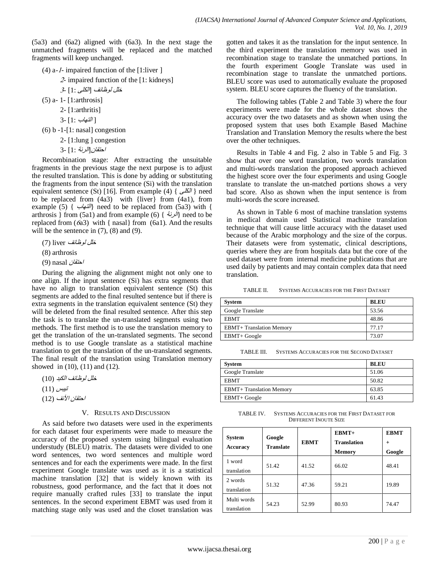(5a3) and (6a2) aligned with (6a3). In the next stage the unmatched fragments will be replaced and the matched fragments will keep unchanged.

- (4) a-1- impaired function of the [1:liver ]
	- <sup>2</sup> impaired function of the [1: kidneys]

خلل لوظائف [الكلى 1:] <sup>3</sup>-

- (5) a- 1- [1:arthrosis]
	- 2- [1:arthritis]
	- 3 [1: إ $||$  $||$
- $(6) b -1 [1: nasal] congestion$

2- [1:lung ] congestion

احتقان[الرئة 1:] 3-

Recombination stage: After extracting the unsuitable fragments in the previous stage the next purpose is to adjust the resulted translation. This is done by adding or substituting the fragments from the input sentence (Si) with the translation equivalent sentence (St) [16]. From example (4) {  $\mathcal{N}$  | need to be replaced from (4a3) with {liver} from (4a1), from example (5) {  $\forall i$  need to be replaced from (5a3) with { arthrosis } from (5a1) and from example (6) {  $\forall$  //} need to be replaced from  $(6a3)$  with { nasal} from  $(6a1)$ . And the results will be the sentence in  $(7)$ ,  $(8)$  and  $(9)$ .

خل*ل لوظائف l*iver) (7)

(8) arthrosis

احتقان nasal) 9(

During the aligning the alignment might not only one to one align. If the input sentence (Si) has extra segments that have no align to translation equivalent sentence (St) this segments are added to the final resulted sentence but if there is extra segments in the translation equivalent sentence (St) they will be deleted from the final resulted sentence. After this step the task is to translate the un-translated segments using two methods. The first method is to use the translation memory to get the translation of the un-translated segments. The second method is to use Google translate as a statistical machine translation to get the translation of the un-translated segments. The final result of the translation using Translation memory showed in (10), (11) and (12).

- خلل لوظائف الكبد (10)
- تيبس (11)
- احتقان الأنف (12)

#### V. RESULTS AND DISCUSSION

As said before two datasets were used in the experiments for each dataset four experiments were made to measure the accuracy of the proposed system using bilingual evaluation understudy (BLEU) matrix. The datasets were divided to one word sentences, two word sentences and multiple word sentences and for each the experiments were made. In the first experiment Google translate was used as it is a statistical machine translation [32] that is widely known with its robustness, good performance, and the fact that it does not require manually crafted rules [33] to translate the input sentences. In the second experiment EBMT was used from it matching stage only was used and the closet translation was gotten and takes it as the translation for the input sentence. In the third experiment the translation memory was used in recombination stage to translate the unmatched portions. In the fourth experiment Google Translate was used in recombination stage to translate the unmatched portions. BLEU score was used to automatically evaluate the proposed system. BLEU score captures the fluency of the translation.

The following tables (Table 2 and Table 3) where the four experiments were made for the whole dataset shows the accuracy over the two datasets and as shown when using the proposed system that uses both Example Based Machine Translation and Translation Memory the results where the best over the other techniques.

Results in Table 4 and Fig. 2 also in Table 5 and Fig. 3 show that over one word translation, two words translation and multi-words translation the proposed approach achieved the highest score over the four experiments and using Google translate to translate the un-matched portions shows a very bad score. Also as shown when the input sentence is from multi-words the score increased.

As shown in Table 6 most of machine translation systems in medical domain used Statistical machine translation technique that will cause little accuracy with the dataset used because of the Arabic morphology and the size of the corpus. Their datasets were from systematic, clinical descriptions, queries where they are from hospitals data but the core of the used dataset were from internal medicine publications that are used daily by patients and may contain complex data that need translation.

TABLE II. SYSTEMS ACCURACIES FOR THE FIRST DATASET

| System                          | <b>BLEU</b> |
|---------------------------------|-------------|
| Google Translate                | 53.56       |
| <b>EBMT</b>                     | 48.86       |
| <b>EBMT+</b> Translation Memory | 77.17       |
| EBMT+ Google                    | 73.07       |

TABLE III. SYSTEMS ACCURACIES FOR THE SECOND DATASET

| <b>System</b>                   | <b>BLEU</b> |
|---------------------------------|-------------|
| Google Translate                | 51.06       |
| <b>EBMT</b>                     | 50.82       |
| <b>EBMT+ Translation Memory</b> | 63.85       |
| EBMT+ Google                    | 61.43       |

TABLE IV. SYSTEMS ACCURACIES FOR THE FIRST DATASET FOR DIFFERENT INOUTE SIZE

| <b>System</b><br><b>Accuracy</b> | Google<br><b>Translate</b> | <b>EBMT</b> | $EBMT+$<br><b>Translation</b><br>Memory | <b>EBMT</b><br>$^{+}$<br>Google |
|----------------------------------|----------------------------|-------------|-----------------------------------------|---------------------------------|
| 1 word<br>translation            | 51.42                      | 41.52       | 66.02                                   | 48.41                           |
| 2 words<br>translation           | 51.32                      | 47.36       | 59.21                                   | 19.89                           |
| Multi words<br>translation       | 54.23                      | 52.99       | 80.93                                   | 74.47                           |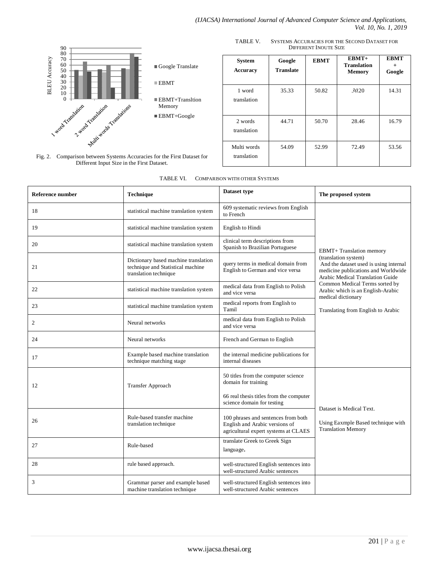

Different Input Size in the First Dataset.

TABLE V. SYSTEMS ACCURACIES FOR THE SECOND DATASET FOR DIFFERENT INOUTE SIZE

| <b>System</b><br>Accuracy  | Google<br><b>Translate</b> | <b>EBMT</b> | $EBMT+$<br><b>Translation</b><br><b>Memory</b> | <b>EBMT</b><br>$+$<br>Google |
|----------------------------|----------------------------|-------------|------------------------------------------------|------------------------------|
| 1 word<br>translation      | 35.33                      | 50.82       | 30.20                                          | 14.31                        |
| 2 words<br>translation     | 44.71                      | 50.70       | 28.46                                          | 16.79                        |
| Multi words<br>translation | 54.09                      | 52.99       | 72.49                                          | 53.56                        |

| Reference number | <b>Technique</b>                                                                                   | Dataset type                                                                                                                        | The proposed system                                                                                                                       |  |
|------------------|----------------------------------------------------------------------------------------------------|-------------------------------------------------------------------------------------------------------------------------------------|-------------------------------------------------------------------------------------------------------------------------------------------|--|
| 18               | statistical machine translation system                                                             | 609 systematic reviews from English<br>to French                                                                                    |                                                                                                                                           |  |
| 19               | statistical machine translation system                                                             | English to Hindi                                                                                                                    |                                                                                                                                           |  |
| 20               | statistical machine translation system                                                             | clinical term descriptions from<br>Spanish to Brazilian Portuguese                                                                  | <b>EBMT+</b> Translation memory                                                                                                           |  |
| 21               | Dictionary based machine translation<br>technique and Statistical machine<br>translation technique | query terms in medical domain from<br>English to German and vice versa                                                              | (translation system)<br>And the dataset used is using internal<br>medicine publications and Worldwide<br>Arabic Medical Translation Guide |  |
| 22               | statistical machine translation system                                                             | medical data from English to Polish<br>and vice versa                                                                               | Common Medical Terms sorted by<br>Arabic which is an English-Arabic                                                                       |  |
| 23               | statistical machine translation system                                                             | medical reports from English to<br>Tamil                                                                                            | medical dictionary<br>Translating from English to Arabic                                                                                  |  |
| 2                | Neural networks                                                                                    | medical data from English to Polish<br>and vice versa                                                                               |                                                                                                                                           |  |
| 24               | Neural networks                                                                                    | French and German to English                                                                                                        |                                                                                                                                           |  |
| 17               | Example based machine translation<br>technique matching stage                                      | the internal medicine publications for<br>internal diseases                                                                         |                                                                                                                                           |  |
| 12               | <b>Transfer Approach</b>                                                                           | 50 titles from the computer science<br>domain for training<br>66 real thesis titles from the computer<br>science domain for testing |                                                                                                                                           |  |
| 26               | Rule-based transfer machine<br>translation technique                                               | 100 phrases and sentences from both<br>English and Arabic versions of<br>agricultural expert systems at CLAES                       | Dataset is Medical Text.<br>Using Eaxmple Based technique with<br><b>Translation Memory</b>                                               |  |
| 27               | Rule-based                                                                                         | translate Greek to Greek Sign<br>language.                                                                                          |                                                                                                                                           |  |
| 28               | rule based approach.                                                                               | well-structured English sentences into<br>well-structured Arabic sentences                                                          |                                                                                                                                           |  |
| 3                | Grammar parser and example based<br>machine translation technique                                  | well-structured English sentences into<br>well-structured Arabic sentences                                                          |                                                                                                                                           |  |

TABLE VI. COMPARISON WITH OTHER SYSTEMS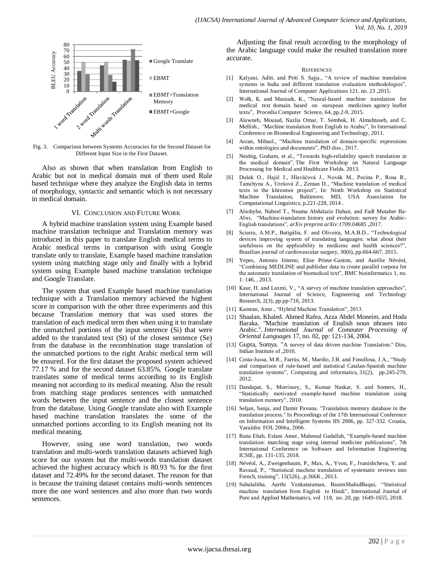

Fig. 3. Comparison between Systems Accuracies for the Second Dataset for Different Input Size in the First Dataset.

Also as shown that when translation from English to Arabic but not in medical domain mot of them used Rule based technique where they analyze the English data in terms of morphology, syntactic and semantic which is not necessary in medical domain.

#### VI. CONCLUSION AND FUTURE WORK

A hybrid machine translation system using Example based machine translation technique and Translation memory was introduced in this paper to translate English medical terms to Arabic medical terms in comparison with using Google translate only to translate, Example based machine translation system using matching stage only and finally with a hybrid system using Example based machine translation technique and Google Translate.

The system that used Example based machine translation technique with a Translation memory achieved the highest score in comparison with the other three experiments and this because Translation memory that was used stores the translation of each medical term then when using it to translate the unmatched portions of the input sentence (Si) that were added to the translated text (St) of the closest sentence (Se) from the database in the recombination stage translation of the unmatched portions to the right Arabic medical term will be ensured. For the first dataset the proposed system achieved 77.17 % and for the second dataset 63.85%. Google translate translates some of medical terms according to its English meaning not according to its medical meaning. Also the result from matching stage produces sentences with unmatched words between the input sentence and the closest sentence from the database. Using Google translate also with Example based machine translation translates the some of the unmatched portions according to its English meaning not its medical meaning.

However, using one word translation, two words translation and multi-words translation datasets achieved high score for our system but the multi-words translation dataset achieved the highest accuracy which is 80.93 % for the first dataset and 72.49% for the second dataset. The reason for that is because the training dataset contains multi-words sentences more the one word sentences and also more than two words sentences.

Adjusting the final result according to the morphology of the Arabic language could make the resulted translation more accurate.

#### **REFERENCES**

- [1] Kalyani, Aditi, and Priti S. Sajja., "A review of machine translation systems in India and different translation evaluation methodologies", International Journal of Computer Applications 121, no. 23 ,2015.
- [2] Wołk, K. and Marasek, K., "Neural-based machine translation for medical text domain. based on european medicines agency leaflet texts", Procedia Computer Science, 64, pp.2-9, 2015.
- [3] Alawneh, Mouiad, Nazlia Omar, T. Sembok, H. Almuhtaseb, and C. Mellish., *"*Machine translation from English to Arabic", In International Conference on Biomedical Engineering and Technology, 2011.
- [4] Arcan, Mihael., "Machine translation of domain-specific expressions within ontologies and documents", PhD diss., 2017.
- [5] Neubig, Graham, et al., "Towards high-reliability speech translation in the medical domain", The First Workshop on Natural Language Processing for Medical and Healthcare Fields. 2013.
- [6] Dušek O., Hajič J., Hlaváčová J., Novák M., Pecina P., Rosa R., Tamchyna A., Urešová Z., Zeman D., "Machine translation of medical texts in the khresmoi project"*,* In: Ninth Workshop on Statistical Machine Translation, Baltimore, MD, USA Association for Computational Linguistics, p.221-228, 2014 .
- [7] Alsohybe, Nabeel T., Neama Abdulaziz Dahan, and Fadl Mutaher Ba-Alwi, "Machine-translation history and evolution: survey for Arabic-English translations", *arXiv preprint arXiv:1709.04685* ,2017.
- Sciarra, A.M.P., Batigália, F. and Oliveira, M.A.B.D., "Technological devices improving system of translating languages: what about their usefulness on the applicability in medicine and health sciences?", Brazilian journal of cardiovascular surgery, 30(6), pp.664-667, 2015.
- [9] Yepes, Antonio Jimeno, Elise Prieur-Gaston, and Aurélie Névéol, "Combining MEDLINE and publisher data to create parallel corpora for the automatic translation of biomedical text", BMC bioinformatics 1, no. 1: 146, , 2013.
- [10] Kaur, H. and Laxmi, V., "A survey of machine translation approaches", International Journal of Science, Engineering and Technology Research, 2(3), pp.pp-716, 2013.
- [11] Kamran, Amir., "Hybrid Machine Translation", 2013.
- [12] Shaalan, Khaled, Ahmed Rafea, Azza Abdel Moneim, and Hoda Baraka, "Machine translation of English noun phrases into Arabic.", *International Journal of Computer Processing of Oriental Languages* 17, no. 02, pp: 121-134, 2004.
- [13] Gupta, Somya. "A survey of data driven machine Translation." Diss, Indian Institute of ,2010.
- [14] Costa-Jussa, M.R., Farrús, M., Mariño, J.B. and Fonollosa, J.A., "Study and comparison of rule-based and statistical Catalan-Spanish machine translation systems", Computing and informatics, 31(2), pp.245-270, 2012.
- [15] Dandapat, S., Morrissey, S., Kumar Naskar, S. and Somers, H., "Statistically motivated example-based machine translation using translation memory", 2010.
- [16] Seljan, Sanja, and Damir Pavuna. "Translation memory database in the translation process." In Proceedings of the 17th International Conference on Information and Intelligent Systems IIS 2006, pp. 327-332. Croatia, Varaždin: FOI, 2006a, 2006.
- [17] Rana Ehab, Eslam Amer, Mahmud Gadallah, "Example-based machine translation: matching stage using internal medicine publications", 7th International Conference on Software and Information Engineering ICSIE, pp. 131-135, 2018.
- [18] Névéol, A., Zweigenbaum, P., Max, A., Yvon, F., Ivanishcheva, Y. and Ravaud, P., "Statistical machine translation of systematic reviews into French, training", 15(526), ,p.366K , 2013.
- [19] Subalalitha, Aarthi Venkataraman, Basim Shahid Baqui, "Statistical machine translation from English to Hindi", International Journal of Pure and Applied Mathematics, vol 118, no. 20, pp. 1649-1655, 2018.